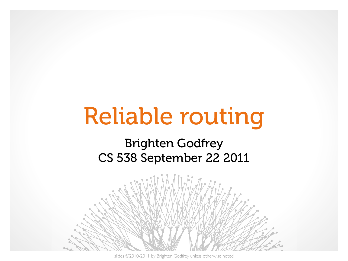# Reliable routing

#### Brighten Godfrey CS 538 September 22 2011



slides ©2010-2011 by Brighten Godfrey unless otherwise noted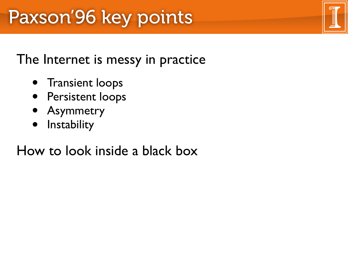#### The Internet is messy in practice

- Transient loops
- Persistent loops
- Asymmetry
- Instability

### How to look inside a black box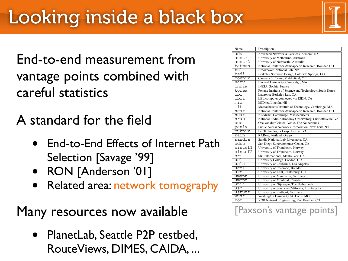End-to-end measurement from vantage points combined with careful statistics

- A standard for the field
	- End-to-End Effects of Internet Path Selection [Savage '99]
	- RON [Anderson '01]
	- Related area: network tomography

Many resources now available

• PlanetLab, Seattle P2P testbed, RouteViews, DIMES, CAIDA, ...

| Name    | Description                                               |
|---------|-----------------------------------------------------------|
| adv     | Advanced Network & Services, Armonk, NY                   |
| austr   |                                                           |
|         | University of Melbourne, Australia                        |
| austr2  | University of Newcastle, Australia                        |
| batman  | National Center for Atmospheric Research, Boulder, CO     |
| bnl     | Brookhaven National Lab, NY                               |
| bsdi    | Berkeley Software Design, Colorado Springs, CO            |
| connix  | Caravela Software, Middlefield, CT                        |
| harv    | Harvard University, Cambridge, MA                         |
| inria   | INRIA, Sophia, France                                     |
| korea   | Pohang Institute of Science and Technology, South Korea   |
| 1b1     | Lawrence Berkeley Lab, CA                                 |
| lbli    | LBL computer connected via ISDN, CA                       |
| mid     | MIDnet, Lincoln, NE                                       |
| mit     | Massachusetts Institute of Technology, Cambridge, MA      |
| ncar    | National Center for Atmospheric Research, Boulder, CO     |
| near    | NEARnet, Cambridge, Massachusetts                         |
| nrao    | National Radio Astronomy Observatory, Charlottesville, VA |
| oce     | Oce-van der Grinten, Venlo, The Netherlands               |
| panix   | Public Access Networks Corporation, New York, NY          |
| pubnix  | Pix Technologies Corp., Fairfax, VA                       |
| rain    | RAINet, Portland, Oregon                                  |
| sandia  | Sandia National Lab, Livermore, CA                        |
| sdsc    | San Diego Supercomputer Center, CA                        |
| sintef1 | University of Trondheim, Norway                           |
| sintef2 | University of Trondheim, Norway                           |
| sri     | SRI International, Menlo Park, CA                         |
| ucl     | University College, London, U.K.                          |
| ucla    | University of California, Los Angeles                     |
| ucol    | University of Colorado, Boulder                           |
| ukc     | University of Kent, Canterbury, U.K.                      |
| umann   | University of Mannheim, Germany                           |
| umont   | University of Montreal, Canada                            |
| unij    | University of Nijmegen, The Netherlands                   |
| usc     | University of Southern California, Los Angeles            |
| ustutt  | University of Stuttgart, Germany                          |
| wustl   | Washington University, St. Louis, MO                      |
| xor     | XOR Network Engineering, East Boulder, CO                 |

[Paxson's vantage points]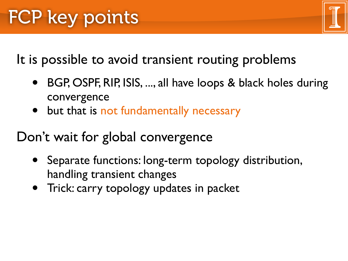It is possible to avoid transient routing problems

- BGP, OSPF, RIP, ISIS, ..., all have loops & black holes during convergence
- but that is not fundamentally necessary

Don't wait for global convergence

- Separate functions: long-term topology distribution, handling transient changes
- Trick: carry topology updates in packet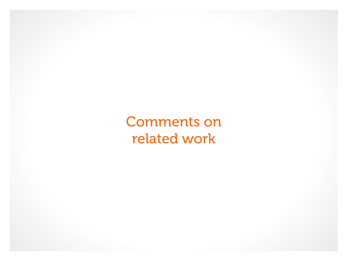Comments on related work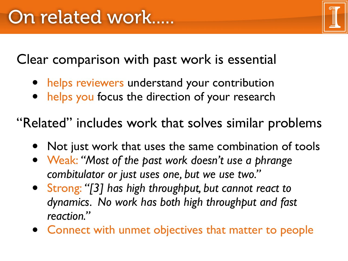Clear comparison with past work is essential

- helps reviewers understand your contribution
- helps you focus the direction of your research

"Related" includes work that solves similar problems

- Not just work that uses the same combination of tools
- Weak: *"Most of the past work doesn't use a phrange combitulator or just uses one, but we use two."*
- Strong: *"[3] has high throughput, but cannot react to dynamics. No work has both high throughput and fast reaction."*
- Connect with unmet objectives that matter to people